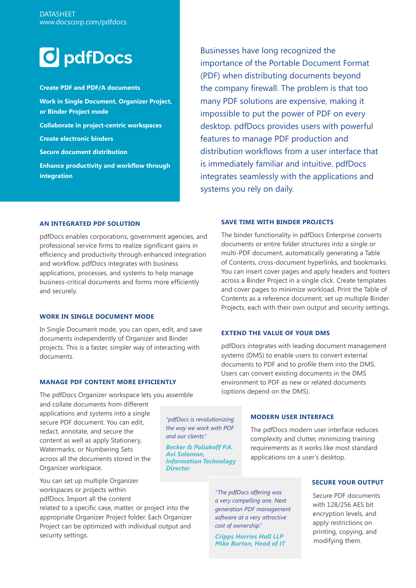

**Create PDF and PDF/A documents Work in Single Document, Organizer Project, or Binder Project mode Collaborate in project-centric workspaces Create electronic binders Secure document distribution Enhance productivity and workflow through integration**

Businesses have long recognized the importance of the Portable Document Format (PDF) when distributing documents beyond the company firewall. The problem is that too many PDF solutions are expensive, making it impossible to put the power of PDF on every desktop. pdfDocs provides users with powerful features to manage PDF production and distribution workflows from a user interface that is immediately familiar and intuitive. pdfDocs integrates seamlessly with the applications and systems you rely on daily.

### **AN INTEGRATED PDF SOLUTION**

pdfDocs enables corporations, government agencies, and professional service firms to realize significant gains in efficiency and productivity through enhanced integration and workflow. pdfDocs integrates with business applications, processes, and systems to help manage business-critical documents and forms more efficiently and securely.

# **WORK IN SINGLE DOCUMENT MODE**

In Single Document mode, you can open, edit, and save documents independently of Organizer and Binder projects. This is a faster, simpler way of interacting with documents.

#### **MANAGE PDF CONTENT MORE EFFICIENTLY**

The pdfDocs Organizer workspace lets you assemble

and collate documents from different applications and systems into a single secure PDF document. You can edit, redact, annotate, and secure the content as well as apply Stationery, Watermarks, or Numbering Sets across all the documents stored in the Organizer workspace.

You can set up multiple Organizer workspaces or projects within pdfDocs. Import all the content

related to a specific case, matter, or project into the appropriate Organizer Project folder. Each Organizer Project can be optimized with individual output and security settings.

## **SAVE TIME WITH BINDER PROJECTS**

The binder functionality in pdfDocs Enterprise converts documents or entire folder structures into a single or multi-PDF document, automatically generating a Table of Contents, cross-document hyperlinks, and bookmarks. You can insert cover pages and apply headers and footers across a Binder Project in a single click. Create templates and cover pages to minimize workload. Print the Table of Contents as a reference document; set up multiple Binder Projects, each with their own output and security settings.

#### **EXTEND THE VALUE OF YOUR DMS**

pdfDocs integrates with leading document management systems (DMS) to enable users to convert external documents to PDF and to profile them into the DMS. Users can convert existing documents in the DMS environment to PDF as new or related documents (options depend on the DMS).

*"pdfDocs is revolutionizing the way we work with PDF and our clients."*

*Becker & Poliakoff P.A. Avi Solomon, Information Technology Director*

# **MODERN USER INTERFACE**

The pdfDocs modern user interface reduces complexity and clutter, minimizing training requirements as it works like most standard applications on a user's desktop.

*"The pdfDocs offering was a very compelling one. Next generation PDF management software at a very attractive cost of ownership."*

*Cripps Harries Hall LLP Mike Burton, Head of IT*

#### **SECURE YOUR OUTPUT**

Secure PDF documents with 128/256 AES bit encryption levels, and apply restrictions on printing, copying, and modifying them.